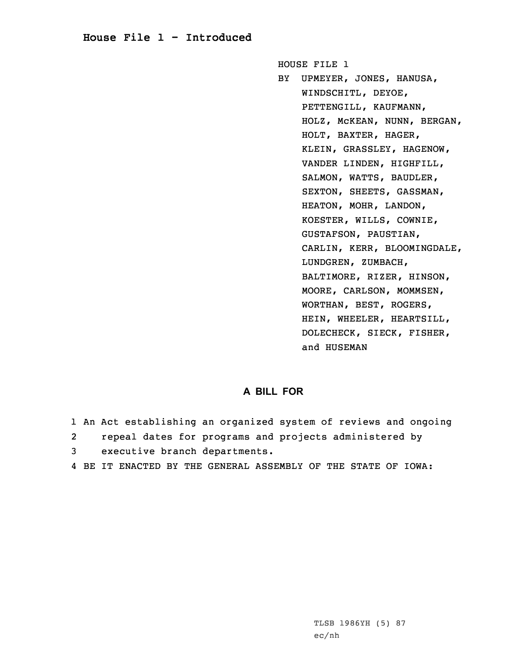## **House File 1 - Introduced**

HOUSE FILE 1 BY UPMEYER, JONES, HANUSA, WINDSCHITL, DEYOE, PETTENGILL, KAUFMANN, HOLZ, McKEAN, NUNN, BERGAN, HOLT, BAXTER, HAGER, KLEIN, GRASSLEY, HAGENOW, VANDER LINDEN, HIGHFILL, SALMON, WATTS, BAUDLER, SEXTON, SHEETS, GASSMAN, HEATON, MOHR, LANDON, KOESTER, WILLS, COWNIE, GUSTAFSON, PAUSTIAN, CARLIN, KERR, BLOOMINGDALE, LUNDGREN, ZUMBACH, BALTIMORE, RIZER, HINSON, MOORE, CARLSON, MOMMSEN, WORTHAN, BEST, ROGERS, HEIN, WHEELER, HEARTSILL, DOLECHECK, SIECK, FISHER, and HUSEMAN

## **A BILL FOR**

- 1 An Act establishing an organized system of reviews and ongoing
- 2repeal dates for programs and projects administered by
- 3 executive branch departments.
- 4 BE IT ENACTED BY THE GENERAL ASSEMBLY OF THE STATE OF IOWA: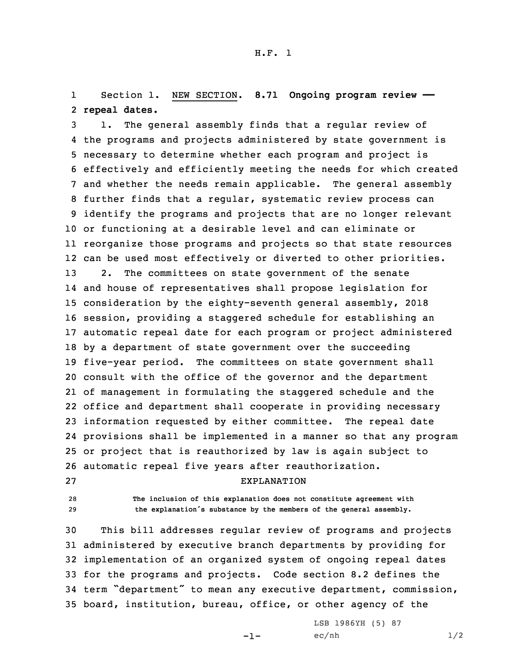1 Section 1. NEW SECTION. **8.71 Ongoing program review ——** 2 **repeal dates.**

 1. The general assembly finds that <sup>a</sup> regular review of the programs and projects administered by state government is necessary to determine whether each program and project is effectively and efficiently meeting the needs for which created and whether the needs remain applicable. The general assembly further finds that <sup>a</sup> regular, systematic review process can identify the programs and projects that are no longer relevant or functioning at <sup>a</sup> desirable level and can eliminate or reorganize those programs and projects so that state resources can be used most effectively or diverted to other priorities. 2. The committees on state government of the senate and house of representatives shall propose legislation for consideration by the eighty-seventh general assembly, 2018 session, providing <sup>a</sup> staggered schedule for establishing an automatic repeal date for each program or project administered by <sup>a</sup> department of state government over the succeeding five-year period. The committees on state government shall consult with the office of the governor and the department of management in formulating the staggered schedule and the office and department shall cooperate in providing necessary information requested by either committee. The repeal date provisions shall be implemented in <sup>a</sup> manner so that any program or project that is reauthorized by law is again subject to automatic repeal five years after reauthorization. EXPLANATION

- 
- 

28 **The inclusion of this explanation does not constitute agreement with** <sup>29</sup> **the explanation's substance by the members of the general assembly.**

 This bill addresses regular review of programs and projects administered by executive branch departments by providing for implementation of an organized system of ongoing repeal dates for the programs and projects. Code section 8.2 defines the term "department" to mean any executive department, commission, board, institution, bureau, office, or other agency of the

-1-

LSB 1986YH (5) 87  $ec/nh$   $1/2$